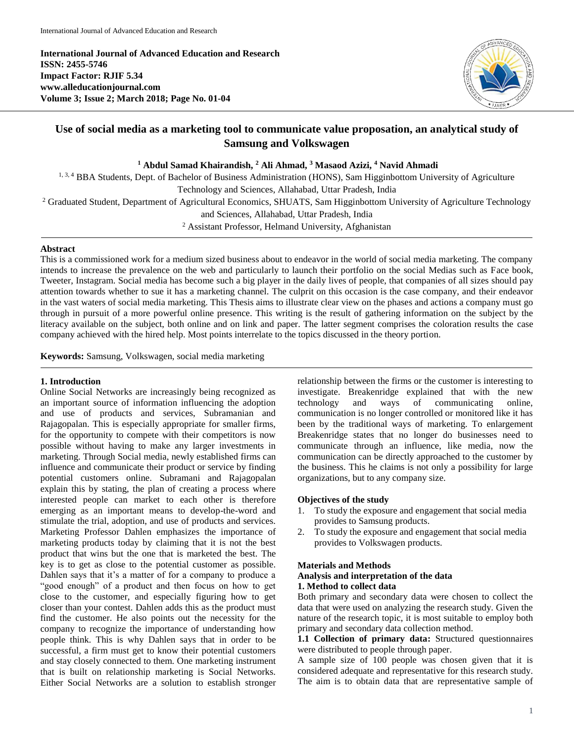**International Journal of Advanced Education and Research ISSN: 2455-5746 Impact Factor: RJIF 5.34 www.alleducationjournal.com Volume 3; Issue 2; March 2018; Page No. 01-04**



# **Use of social media as a marketing tool to communicate value proposation, an analytical study of Samsung and Volkswagen**

**<sup>1</sup> Abdul Samad Khairandish, <sup>2</sup> Ali Ahmad, <sup>3</sup> Masaod Azizi, <sup>4</sup> Navid Ahmadi**

<sup>1, 3, 4</sup> BBA Students, Dept. of Bachelor of Business Administration (HONS), Sam Higginbottom University of Agriculture Technology and Sciences, Allahabad, Uttar Pradesh, India

<sup>2</sup> Graduated Student, Department of Agricultural Economics, SHUATS, Sam Higginbottom University of Agriculture Technology

and Sciences, Allahabad, Uttar Pradesh, India

<sup>2</sup> Assistant Professor, Helmand University, Afghanistan

### **Abstract**

This is a commissioned work for a medium sized business about to endeavor in the world of social media marketing. The company intends to increase the prevalence on the web and particularly to launch their portfolio on the social Medias such as Face book, Tweeter, Instagram. Social media has become such a big player in the daily lives of people, that companies of all sizes should pay attention towards whether to sue it has a marketing channel. The culprit on this occasion is the case company, and their endeavor in the vast waters of social media marketing. This Thesis aims to illustrate clear view on the phases and actions a company must go through in pursuit of a more powerful online presence. This writing is the result of gathering information on the subject by the literacy available on the subject, both online and on link and paper. The latter segment comprises the coloration results the case company achieved with the hired help. Most points interrelate to the topics discussed in the theory portion.

**Keywords:** Samsung, Volkswagen, social media marketing

### **1. Introduction**

Online Social Networks are increasingly being recognized as an important source of information influencing the adoption and use of products and services, Subramanian and Rajagopalan. This is especially appropriate for smaller firms, for the opportunity to compete with their competitors is now possible without having to make any larger investments in marketing. Through Social media, newly established firms can influence and communicate their product or service by finding potential customers online. Subramani and Rajagopalan explain this by stating, the plan of creating a process where interested people can market to each other is therefore emerging as an important means to develop-the-word and stimulate the trial, adoption, and use of products and services. Marketing Professor Dahlen emphasizes the importance of marketing products today by claiming that it is not the best product that wins but the one that is marketed the best. The key is to get as close to the potential customer as possible. Dahlen says that it's a matter of for a company to produce a "good enough" of a product and then focus on how to get close to the customer, and especially figuring how to get closer than your contest. Dahlen adds this as the product must find the customer. He also points out the necessity for the company to recognize the importance of understanding how people think. This is why Dahlen says that in order to be successful, a firm must get to know their potential customers and stay closely connected to them. One marketing instrument that is built on relationship marketing is Social Networks. Either Social Networks are a solution to establish stronger relationship between the firms or the customer is interesting to investigate. Breakenridge explained that with the new technology and ways of communicating online, communication is no longer controlled or monitored like it has been by the traditional ways of marketing. To enlargement Breakenridge states that no longer do businesses need to communicate through an influence, like media, now the communication can be directly approached to the customer by the business. This he claims is not only a possibility for large organizations, but to any company size.

# **Objectives of the study**

- 1. To study the exposure and engagement that social media provides to Samsung products.
- 2. To study the exposure and engagement that social media provides to Volkswagen products.

#### **Materials and Methods**

#### **Analysis and interpretation of the data**

## **1. Method to collect data**

Both primary and secondary data were chosen to collect the data that were used on analyzing the research study. Given the nature of the research topic, it is most suitable to employ both primary and secondary data collection method.

**1.1 Collection of primary data:** Structured questionnaires were distributed to people through paper.

A sample size of 100 people was chosen given that it is considered adequate and representative for this research study. The aim is to obtain data that are representative sample of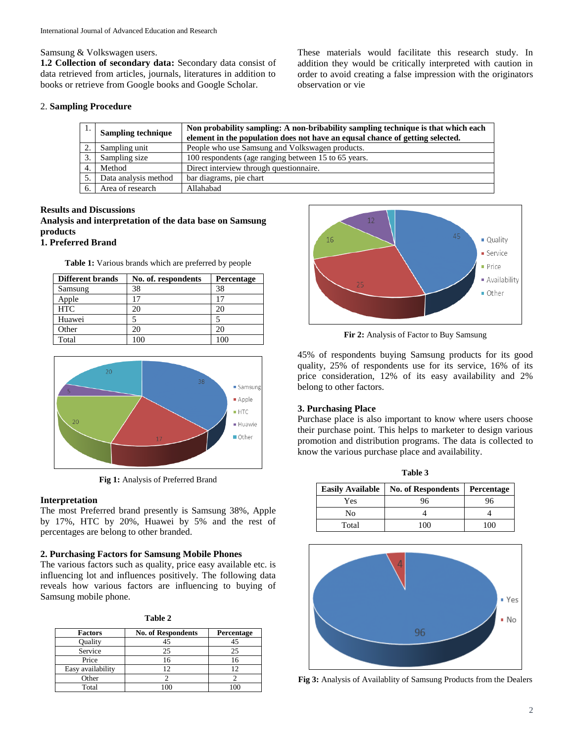Samsung & Volkswagen users.

**1.2 Collection of secondary data:** Secondary data consist of data retrieved from articles, journals, literatures in addition to books or retrieve from Google books and Google Scholar.

2. **Sampling Procedure**

| These materials would facilitate this research study. In        |  |  |  |
|-----------------------------------------------------------------|--|--|--|
| addition they would be critically interpreted with caution in   |  |  |  |
| order to avoid creating a false impression with the originators |  |  |  |
| observation or vie                                              |  |  |  |

| ., | <b>Sampling technique</b> | Non probability sampling: A non-bribability sampling technique is that which each<br>element in the population does not have an equal chance of getting selected. |
|----|---------------------------|-------------------------------------------------------------------------------------------------------------------------------------------------------------------|
|    | Sampling unit             | People who use Samsung and Volkswagen products.                                                                                                                   |
|    | Sampling size             | 100 respondents (age ranging between 15 to 65 years.)                                                                                                             |
| 4. | Method                    | Direct interview through questionnaire.                                                                                                                           |
|    | Data analysis method      | bar diagrams, pie chart                                                                                                                                           |
| 6. | Area of research          | Allahabad                                                                                                                                                         |

# **Results and Discussions Analysis and interpretation of the data base on Samsung products**

# **1. Preferred Brand**

**Table 1:** Various brands which are preferred by people

| <b>Different brands</b> | No. of. respondents | <b>Percentage</b> |
|-------------------------|---------------------|-------------------|
| Samsung                 | 38                  | 38                |
| Apple                   |                     | 17                |
| <b>HTC</b>              | 20                  | 20                |
| Huawei                  |                     |                   |
| Other                   | 20                  | 20                |
| Total                   | 100                 |                   |



**Fig 1:** Analysis of Preferred Brand

# **Interpretation**

The most Preferred brand presently is Samsung 38%, Apple by 17%, HTC by 20%, Huawei by 5% and the rest of percentages are belong to other branded.

## **2. Purchasing Factors for Samsung Mobile Phones**

The various factors such as quality, price easy available etc. is influencing lot and influences positively. The following data reveals how various factors are influencing to buying of Samsung mobile phone.

| .,<br>۰.<br>v<br>×<br>. .<br>۰. |  |
|---------------------------------|--|
|---------------------------------|--|

| <b>Factors</b>    | <b>No. of Respondents</b> | Percentage |
|-------------------|---------------------------|------------|
| Quality           | 45                        |            |
| Service           | 25                        | 25         |
| Price             | 16                        |            |
| Easy availability | 12                        |            |
| Other             |                           |            |
| Total             |                           |            |



**Fir 2:** Analysis of Factor to Buy Samsung

45% of respondents buying Samsung products for its good quality, 25% of respondents use for its service, 16% of its price consideration, 12% of its easy availability and 2% belong to other factors.

## **3. Purchasing Place**

Purchase place is also important to know where users choose their purchase point. This helps to marketer to design various promotion and distribution programs. The data is collected to know the various purchase place and availability.

| <b>Easily Available</b> | <b>No. of Respondents</b> | Percentage |
|-------------------------|---------------------------|------------|
| Yes                     | 96                        | 96         |
| No                      |                           |            |
| Total                   | 100                       | 100        |

**Table 3**



**Fig 3:** Analysis of Availablity of Samsung Products from the Dealers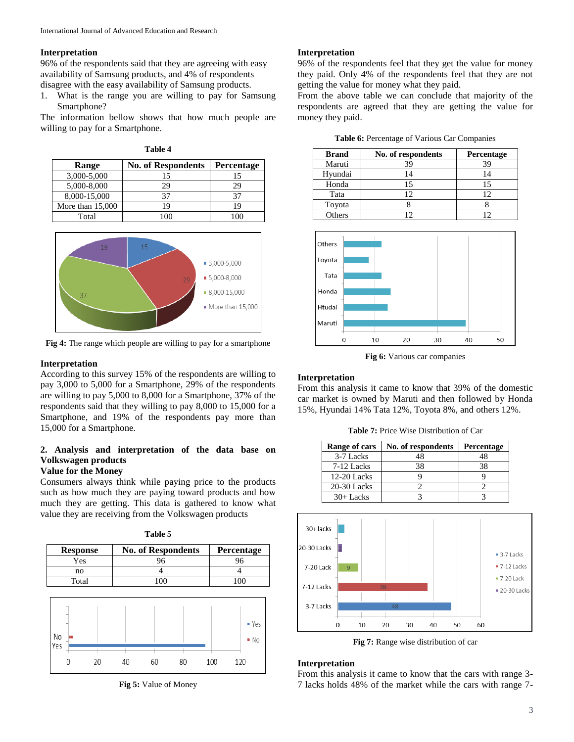#### **Interpretation**

96% of the respondents said that they are agreeing with easy availability of Samsung products, and 4% of respondents disagree with the easy availability of Samsung products.

1. What is the range you are willing to pay for Samsung Smartphone?

The information bellow shows that how much people are willing to pay for a Smartphone.

| 'able |  |
|-------|--|
|-------|--|

| Range              | <b>No. of Respondents</b> | Percentage |
|--------------------|---------------------------|------------|
| 3,000-5,000        | 15                        |            |
| 5,000-8,000        | 29                        | 29         |
| 8,000-15,000       | 37                        |            |
| More than $15,000$ |                           | 19         |
| Total              |                           |            |



**Fig 4:** The range which people are willing to pay for a smartphone

### **Interpretation**

According to this survey 15% of the respondents are willing to pay 3,000 to 5,000 for a Smartphone, 29% of the respondents are willing to pay 5,000 to 8,000 for a Smartphone, 37% of the respondents said that they willing to pay 8,000 to 15,000 for a Smartphone, and 19% of the respondents pay more than 15,000 for a Smartphone.

# **2. Analysis and interpretation of the data base on Volkswagen products**

# **Value for the Money**

Consumers always think while paying price to the products such as how much they are paying toward products and how much they are getting. This data is gathered to know what value they are receiving from the Volkswagen products

| <b>Response</b> | <b>No. of Respondents</b> | Percentage |
|-----------------|---------------------------|------------|
| Yes             | 96                        |            |
| no              |                           |            |
| Total           |                           |            |



**Fig 5:** Value of Money

### **Interpretation**

96% of the respondents feel that they get the value for money they paid. Only 4% of the respondents feel that they are not getting the value for money what they paid.

From the above table we can conclude that majority of the respondents are agreed that they are getting the value for money they paid.

| Table 6: Percentage of Various Car Companies |  |  |  |  |  |  |
|----------------------------------------------|--|--|--|--|--|--|
|----------------------------------------------|--|--|--|--|--|--|

| <b>Brand</b> | No. of respondents | <b>Percentage</b> |
|--------------|--------------------|-------------------|
| Maruti       | 39                 | ٩q                |
| Hyundai      | 4                  |                   |
| Honda        | 1٢                 | 15                |
| Tata         | 12                 | ר ו               |
| Toyota       |                    |                   |
| Others       | ി                  |                   |



**Fig 6:** Various car companies

### **Interpretation**

From this analysis it came to know that 39% of the domestic car market is owned by Maruti and then followed by Honda 15%, Hyundai 14% Tata 12%, Toyota 8%, and others 12%.

**Table 7:** Price Wise Distribution of Car

| Range of cars | No. of respondents | Percentage |
|---------------|--------------------|------------|
| 3-7 Lacks     | 48                 | 48         |
| 7-12 Lacks    | 38                 | 38         |
| $12-20$ Lacks |                    |            |
| $20-30$ Lacks |                    |            |
| $30+$ Lacks   |                    |            |



**Fig 7:** Range wise distribution of car

## **Interpretation**

From this analysis it came to know that the cars with range 3- 7 lacks holds 48% of the market while the cars with range 7